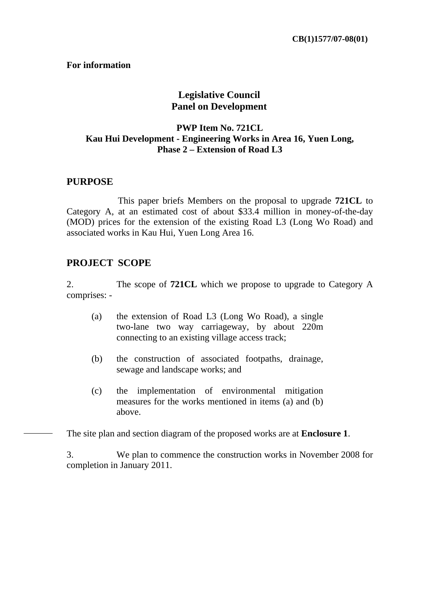#### **For information**

## **Legislative Council Panel on Development**

#### **PWP Item No. 721CL Kau Hui Development - Engineering Works in Area 16, Yuen Long, Phase 2 – Extension of Road L3**

#### **PURPOSE**

 This paper briefs Members on the proposal to upgrade **721CL** to Category A, at an estimated cost of about \$33.4 million in money-of-the-day (MOD) prices for the extension of the existing Road L3 (Long Wo Road) and associated works in Kau Hui, Yuen Long Area 16.

#### **PROJECT SCOPE**

2. The scope of **721CL** which we propose to upgrade to Category A comprises: -

- (a) the extension of Road L3 (Long Wo Road), a single two-lane two way carriageway, by about 220m connecting to an existing village access track;
- (b) the construction of associated footpaths, drainage, sewage and landscape works; and
- (c) the implementation of environmental mitigation measures for the works mentioned in items (a) and (b) above.

The site plan and section diagram of the proposed works are at **Enclosure 1**.

3. We plan to commence the construction works in November 2008 for completion in January 2011.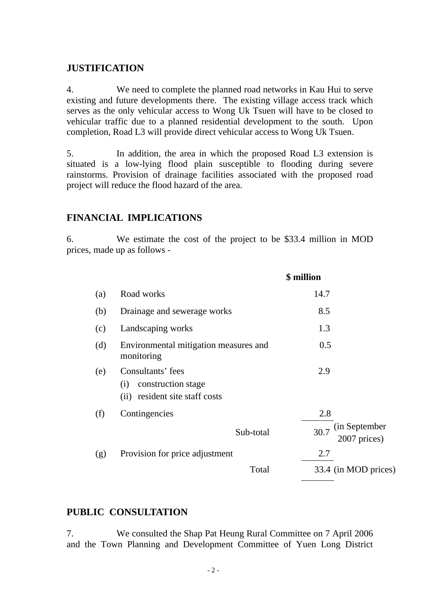## **JUSTIFICATION**

4. We need to complete the planned road networks in Kau Hui to serve existing and future developments there. The existing village access track which serves as the only vehicular access to Wong Uk Tsuen will have to be closed to vehicular traffic due to a planned residential development to the south. Upon completion, Road L3 will provide direct vehicular access to Wong Uk Tsuen.

5. In addition, the area in which the proposed Road L3 extension is situated is a low-lying flood plain susceptible to flooding during severe rainstorms. Provision of drainage facilities associated with the proposed road project will reduce the flood hazard of the area.

## **FINANCIAL IMPLICATIONS**

6. We estimate the cost of the project to be \$33.4 million in MOD prices, made up as follows -

|     |                                                                                  | \$ million                                   |
|-----|----------------------------------------------------------------------------------|----------------------------------------------|
| (a) | Road works                                                                       | 14.7                                         |
| (b) | Drainage and sewerage works                                                      | 8.5                                          |
| (c) | Landscaping works                                                                | 1.3                                          |
| (d) | Environmental mitigation measures and<br>monitoring                              | 0.5                                          |
| (e) | Consultants' fees<br>construction stage<br>(i)<br>(ii) resident site staff costs | 2.9                                          |
| (f) | Contingencies<br>Sub-total                                                       | 2.8<br>(in September<br>30.7<br>2007 prices) |
| (g) | Provision for price adjustment                                                   | 2.7                                          |
|     | Total                                                                            | 33.4 (in MOD prices)                         |

## **PUBLIC CONSULTATION**

7. We consulted the Shap Pat Heung Rural Committee on 7 April 2006 and the Town Planning and Development Committee of Yuen Long District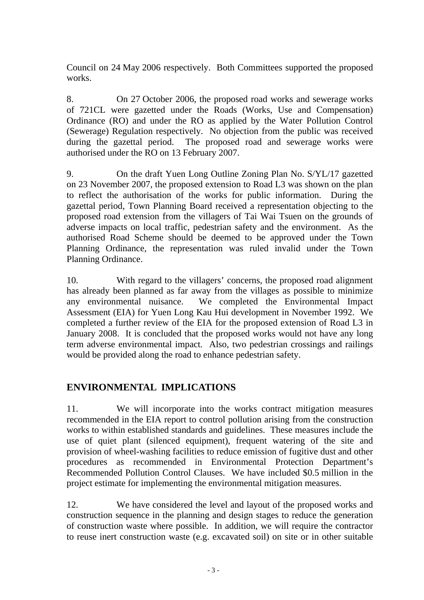Council on 24 May 2006 respectively. Both Committees supported the proposed works.

8. On 27 October 2006, the proposed road works and sewerage works of 721CL were gazetted under the Roads (Works, Use and Compensation) Ordinance (RO) and under the RO as applied by the Water Pollution Control (Sewerage) Regulation respectively. No objection from the public was received during the gazettal period. The proposed road and sewerage works were authorised under the RO on 13 February 2007.

9. On the draft Yuen Long Outline Zoning Plan No. S/YL/17 gazetted on 23 November 2007, the proposed extension to Road L3 was shown on the plan to reflect the authorisation of the works for public information. During the gazettal period, Town Planning Board received a representation objecting to the proposed road extension from the villagers of Tai Wai Tsuen on the grounds of adverse impacts on local traffic, pedestrian safety and the environment. As the authorised Road Scheme should be deemed to be approved under the Town Planning Ordinance, the representation was ruled invalid under the Town Planning Ordinance.

10. With regard to the villagers' concerns, the proposed road alignment has already been planned as far away from the villages as possible to minimize any environmental nuisance. We completed the Environmental Impact Assessment (EIA) for Yuen Long Kau Hui development in November 1992. We completed a further review of the EIA for the proposed extension of Road L3 in January 2008. It is concluded that the proposed works would not have any long term adverse environmental impact. Also, two pedestrian crossings and railings would be provided along the road to enhance pedestrian safety.

# **ENVIRONMENTAL IMPLICATIONS**

11. We will incorporate into the works contract mitigation measures recommended in the EIA report to control pollution arising from the construction works to within established standards and guidelines. These measures include the use of quiet plant (silenced equipment), frequent watering of the site and provision of wheel-washing facilities to reduce emission of fugitive dust and other procedures as recommended in Environmental Protection Department's Recommended Pollution Control Clauses. We have included \$0.5 million in the project estimate for implementing the environmental mitigation measures.

12. We have considered the level and layout of the proposed works and construction sequence in the planning and design stages to reduce the generation of construction waste where possible. In addition, we will require the contractor to reuse inert construction waste (e.g. excavated soil) on site or in other suitable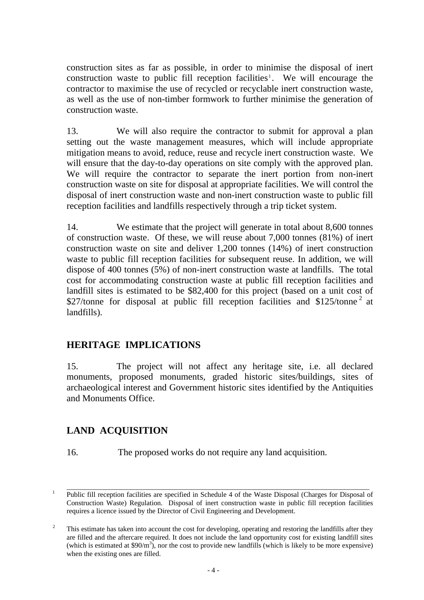construction sites as far as possible, in order to minimise the disposal of inert construction waste to public fill reception facilities<sup>1</sup>. We will encourage the contractor to maximise the use of recycled or recyclable inert construction waste, as well as the use of non-timber formwork to further minimise the generation of construction waste.

13. We will also require the contractor to submit for approval a plan setting out the waste management measures, which will include appropriate mitigation means to avoid, reduce, reuse and recycle inert construction waste. We will ensure that the day-to-day operations on site comply with the approved plan. We will require the contractor to separate the inert portion from non-inert construction waste on site for disposal at appropriate facilities. We will control the disposal of inert construction waste and non-inert construction waste to public fill reception facilities and landfills respectively through a trip ticket system.

14. We estimate that the project will generate in total about 8,600 tonnes of construction waste. Of these, we will reuse about 7,000 tonnes (81%) of inert construction waste on site and deliver 1,200 tonnes (14%) of inert construction waste to public fill reception facilities for subsequent reuse. In addition, we will dispose of 400 tonnes (5%) of non-inert construction waste at landfills. The total cost for accommodating construction waste at public fill reception facilities and landfill sites is estimated to be \$82,400 for this project (based on a unit cost of \$27/tonne for disposal at public fill reception facilities and  $$125/tonne<sup>2</sup>$  at landfills).

# **HERITAGE IMPLICATIONS**

15. The project will not affect any heritage site, i.e. all declared monuments, proposed monuments, graded historic sites/buildings, sites of archaeological interest and Government historic sites identified by the Antiquities and Monuments Office.

# **LAND ACQUISITION**

16. The proposed works do not require any land acquisition.

<sup>&</sup>lt;sup>1</sup> Public fill reception facilities are specified in Schedule 4 of the Waste Disposal (Charges for Disposal of Construction Waste) Regulation. Disposal of inert construction waste in public fill reception facilities requires a licence issued by the Director of Civil Engineering and Development.

<sup>2</sup> This estimate has taken into account the cost for developing, operating and restoring the landfills after they are filled and the aftercare required. It does not include the land opportunity cost for existing landfill sites (which is estimated at  $$90/m^3$ ), nor the cost to provide new landfills (which is likely to be more expensive) when the existing ones are filled.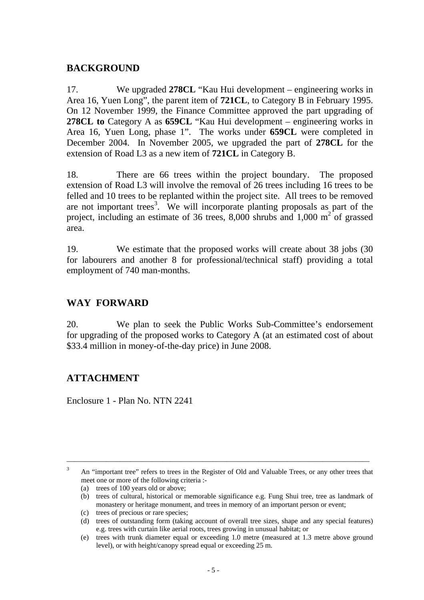## **BACKGROUND**

17. We upgraded **278CL** "Kau Hui development – engineering works in Area 16, Yuen Long", the parent item of **721CL**, to Category B in February 1995. On 12 November 1999, the Finance Committee approved the part upgrading of **278CL to** Category A as **659CL** "Kau Hui development – engineering works in Area 16, Yuen Long, phase 1". The works under **659CL** were completed in December 2004. In November 2005, we upgraded the part of **278CL** for the extension of Road L3 as a new item of **721CL** in Category B.

18. There are 66 trees within the project boundary. The proposed extension of Road L3 will involve the removal of 26 trees including 16 trees to be felled and 10 trees to be replanted within the project site. All trees to be removed are not important trees<sup>3</sup>. We will incorporate planting proposals as part of the project, including an estimate of 36 trees,  $8,000$  shrubs and  $1,000$  m<sup>2</sup> of grassed area.

19. We estimate that the proposed works will create about 38 jobs (30 for labourers and another 8 for professional/technical staff) providing a total employment of 740 man-months.

# **WAY FORWARD**

20. We plan to seek the Public Works Sub-Committee's endorsement for upgrading of the proposed works to Category A (at an estimated cost of about \$33.4 million in money-of-the-day price) in June 2008.

# **ATTACHMENT**

Enclosure 1 - Plan No. NTN 2241

\_\_\_\_\_\_\_\_\_\_\_\_\_\_\_\_\_\_\_\_\_\_\_\_\_\_\_\_\_\_\_\_\_\_\_\_\_\_\_\_\_\_\_\_\_\_\_\_\_\_\_\_\_\_\_\_\_\_\_\_\_\_\_\_\_\_\_\_\_\_\_\_\_\_\_\_\_\_\_\_\_\_\_\_\_

(a) trees of 100 years old or above;

(c) trees of precious or rare species;

<sup>3</sup> An "important tree" refers to trees in the Register of Old and Valuable Trees, or any other trees that meet one or more of the following criteria :-

<sup>(</sup>b) trees of cultural, historical or memorable significance e.g. Fung Shui tree, tree as landmark of monastery or heritage monument, and trees in memory of an important person or event;

<sup>(</sup>d) trees of outstanding form (taking account of overall tree sizes, shape and any special features) e.g. trees with curtain like aerial roots, trees growing in unusual habitat; or

<sup>(</sup>e) trees with trunk diameter equal or exceeding 1.0 metre (measured at 1.3 metre above ground level), or with height/canopy spread equal or exceeding 25 m.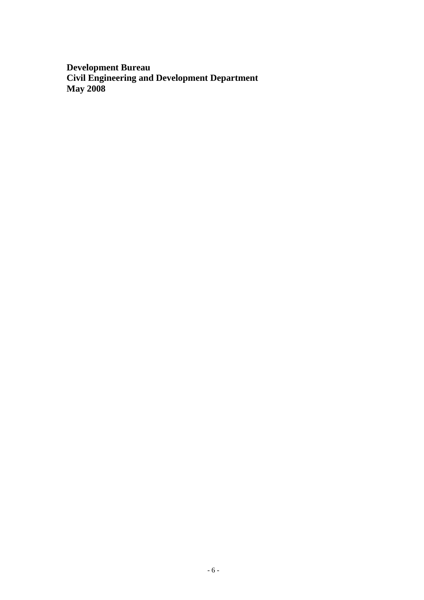**Development Bureau Civil Engineering and Development Department May 2008**